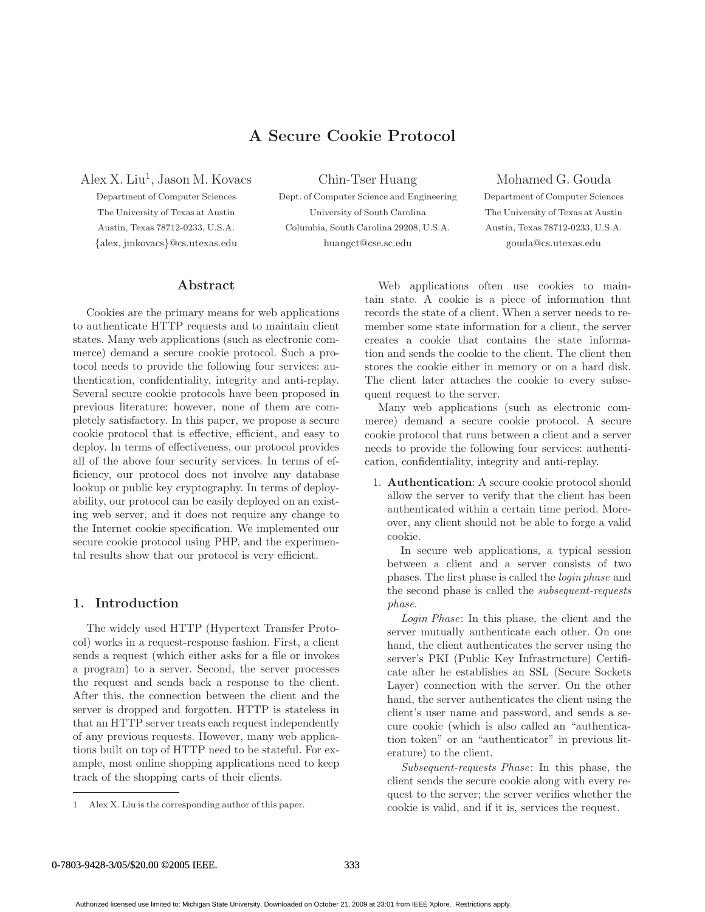# **A Secure Cookie Protocol**

Alex X. Liu<sup>1</sup>, Jason M. Kovacs

Department of Computer Sciences The University of Texas at Austin Austin, Texas 78712-0233, U.S.A. *{*alex, jmkovacs*}*@cs.utexas.edu

Chin-Tser Huang Dept. of Computer Science and Engineering University of South Carolina Columbia, South Carolina 29208, U.S.A. huangct@cse.sc.edu

# Mohamed G. Gouda

Department of Computer Sciences The University of Texas at Austin Austin, Texas 78712-0233, U.S.A. gouda@cs.utexas.edu

# **Abstract**

Cookies are the primary means for web applications to authenticate HTTP requests and to maintain client states. Many web applications (such as electronic commerce) demand a secure cookie protocol. Such a protocol needs to provide the following four services: authentication, confidentiality, integrity and anti-replay. Several secure cookie protocols have been proposed in previous literature; however, none of them are completely satisfactory. In this paper, we propose a secure cookie protocol that is effective, efficient, and easy to deploy. In terms of effectiveness, our protocol provides all of the above four security services. In terms of efficiency, our protocol does not involve any database lookup or public key cryptography. In terms of deployability, our protocol can be easily deployed on an existing web server, and it does not require any change to the Internet cookie specification. We implemented our secure cookie protocol using PHP, and the experimental results show that our protocol is very efficient.

# **1. Introduction**

The widely used HTTP (Hypertext Transfer Protocol) works in a request-response fashion. First, a client sends a request (which either asks for a file or invokes a program) to a server. Second, the server processes the request and sends back a response to the client. After this, the connection between the client and the server is dropped and forgotten. HTTP is stateless in that an HTTP server treats each request independently of any previous requests. However, many web applications built on top of HTTP need to be stateful. For example, most online shopping applications need to keep track of the shopping carts of their clients.

Web applications often use cookies to maintain state. A cookie is a piece of information that records the state of a client. When a server needs to remember some state information for a client, the server creates a cookie that contains the state information and sends the cookie to the client. The client then stores the cookie either in memory or on a hard disk. The client later attaches the cookie to every subsequent request to the server.

Many web applications (such as electronic commerce) demand a secure cookie protocol. A secure cookie protocol that runs between a client and a server needs to provide the following four services: authentication, confidentiality, integrity and anti-replay.

1. **Authentication**: A secure cookie protocol should allow the server to verify that the client has been authenticated within a certain time period. Moreover, any client should not be able to forge a valid cookie.

In secure web applications, a typical session between a client and a server consists of two phases. The first phase is called the *login phase* and the second phase is called the *subsequent-requests phase*.

*Login Phase*: In this phase, the client and the server mutually authenticate each other. On one hand, the client authenticates the server using the server's PKI (Public Key Infrastructure) Certificate after he establishes an SSL (Secure Sockets Layer) connection with the server. On the other hand, the server authenticates the client using the client's user name and password, and sends a secure cookie (which is also called an "authentication token" or an "authenticator" in previous literature) to the client.

*Subsequent-requests Phase*: In this phase, the client sends the secure cookie along with every request to the server; the server verifies whether the cookie is valid, and if it is, services the request.

<sup>1</sup> Alex X. Liu is the corresponding author of this paper.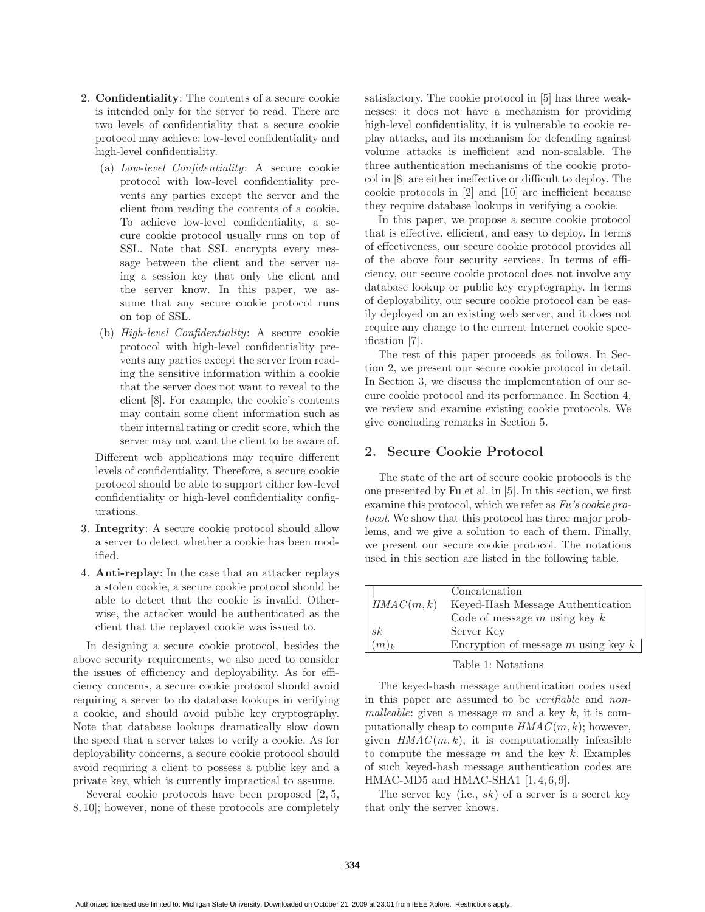- 2. **Confidentiality**: The contents of a secure cookie is intended only for the server to read. There are two levels of confidentiality that a secure cookie protocol may achieve: low-level confidentiality and high-level confidentiality.
	- (a) *Low-level Confidentiality*: A secure cookie protocol with low-level confidentiality prevents any parties except the server and the client from reading the contents of a cookie. To achieve low-level confidentiality, a secure cookie protocol usually runs on top of SSL. Note that SSL encrypts every message between the client and the server using a session key that only the client and the server know. In this paper, we assume that any secure cookie protocol runs on top of SSL.
	- (b) *High-level Confidentiality*: A secure cookie protocol with high-level confidentiality prevents any parties except the server from reading the sensitive information within a cookie that the server does not want to reveal to the client [8]. For example, the cookie's contents may contain some client information such as their internal rating or credit score, which the server may not want the client to be aware of.

Different web applications may require different levels of confidentiality. Therefore, a secure cookie protocol should be able to support either low-level confidentiality or high-level confidentiality configurations.

- 3. **Integrity**: A secure cookie protocol should allow a server to detect whether a cookie has been modified.
- 4. **Anti-replay**: In the case that an attacker replays a stolen cookie, a secure cookie protocol should be able to detect that the cookie is invalid. Otherwise, the attacker would be authenticated as the client that the replayed cookie was issued to.

In designing a secure cookie protocol, besides the above security requirements, we also need to consider the issues of efficiency and deployability. As for efficiency concerns, a secure cookie protocol should avoid requiring a server to do database lookups in verifying a cookie, and should avoid public key cryptography. Note that database lookups dramatically slow down the speed that a server takes to verify a cookie. As for deployability concerns, a secure cookie protocol should avoid requiring a client to possess a public key and a private key, which is currently impractical to assume.

Several cookie protocols have been proposed [2, 5, 8, 10]; however, none of these protocols are completely satisfactory. The cookie protocol in [5] has three weaknesses: it does not have a mechanism for providing high-level confidentiality, it is vulnerable to cookie replay attacks, and its mechanism for defending against volume attacks is inefficient and non-scalable. The three authentication mechanisms of the cookie protocol in [8] are either ineffective or difficult to deploy. The cookie protocols in [2] and [10] are inefficient because they require database lookups in verifying a cookie.

In this paper, we propose a secure cookie protocol that is effective, efficient, and easy to deploy. In terms of effectiveness, our secure cookie protocol provides all of the above four security services. In terms of efficiency, our secure cookie protocol does not involve any database lookup or public key cryptography. In terms of deployability, our secure cookie protocol can be easily deployed on an existing web server, and it does not require any change to the current Internet cookie specification [7].

The rest of this paper proceeds as follows. In Section 2, we present our secure cookie protocol in detail. In Section 3, we discuss the implementation of our secure cookie protocol and its performance. In Section 4, we review and examine existing cookie protocols. We give concluding remarks in Section 5.

### **2. Secure Cookie Protocol**

The state of the art of secure cookie protocols is the one presented by Fu et al. in [5]. In this section, we first examine this protocol, which we refer as *Fu's cookie protocol*. We show that this protocol has three major problems, and we give a solution to each of them. Finally, we present our secure cookie protocol. The notations used in this section are listed in the following table.

|            | Concatenation                           |
|------------|-----------------------------------------|
| HMAC(m, k) | Keyed-Hash Message Authentication       |
|            | Code of message $m$ using key $k$       |
| sk         | Server Key                              |
| $(m)_k$    | Encryption of message $m$ using key $k$ |
|            |                                         |

#### Table 1: Notations

The keyed-hash message authentication codes used in this paper are assumed to be *verifiable* and *nonmalleable*: given a message *m* and a key *k*, it is computationally cheap to compute  $HMAC(m, k)$ ; however, given  $HMAC(m, k)$ , it is computationally infeasible to compute the message *m* and the key *k*. Examples of such keyed-hash message authentication codes are HMAC-MD5 and HMAC-SHA1 [1, 4, 6, 9].

The server key (i.e., *sk*) of a server is a secret key that only the server knows.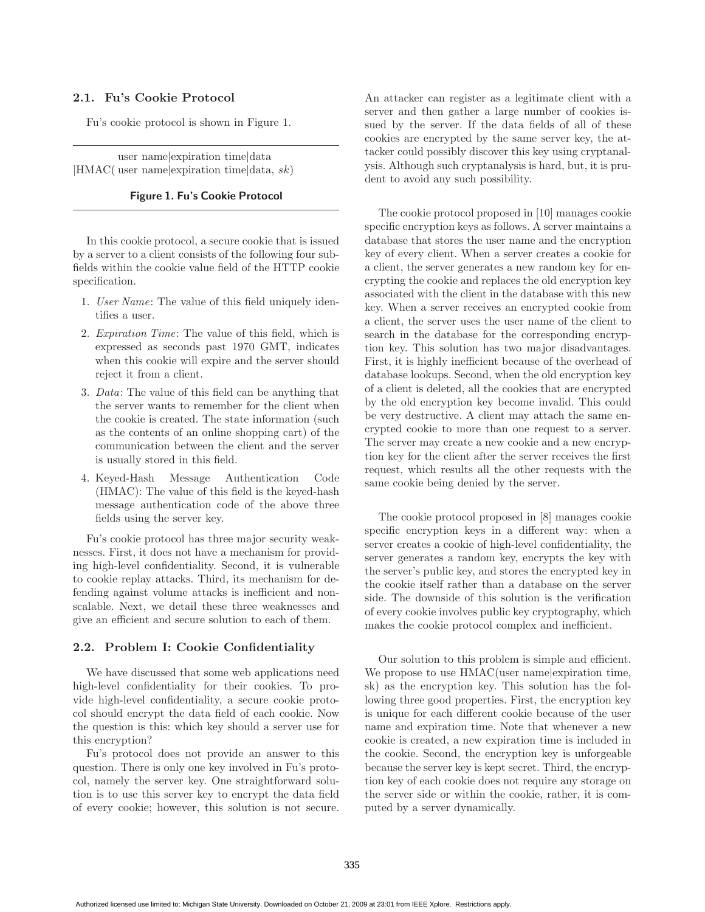# **2.1. Fu's Cookie Protocol**

Fu's cookie protocol is shown in Figure 1.

user name*|*expiration time*|*data *|*HMAC( user name*|*expiration time*|*data, *sk*)

#### **Figure 1. Fu's Cookie Protocol**

In this cookie protocol, a secure cookie that is issued by a server to a client consists of the following four subfields within the cookie value field of the HTTP cookie specification.

- 1. *User Name*: The value of this field uniquely identifies a user.
- 2. *Expiration Time*: The value of this field, which is expressed as seconds past 1970 GMT, indicates when this cookie will expire and the server should reject it from a client.
- 3. *Data*: The value of this field can be anything that the server wants to remember for the client when the cookie is created. The state information (such as the contents of an online shopping cart) of the communication between the client and the server is usually stored in this field.
- 4. Keyed-Hash Message Authentication Code (HMAC): The value of this field is the keyed-hash message authentication code of the above three fields using the server key.

Fu's cookie protocol has three major security weaknesses. First, it does not have a mechanism for providing high-level confidentiality. Second, it is vulnerable to cookie replay attacks. Third, its mechanism for defending against volume attacks is inefficient and nonscalable. Next, we detail these three weaknesses and give an efficient and secure solution to each of them.

#### **2.2. Problem I: Cookie Confidentiality**

We have discussed that some web applications need high-level confidentiality for their cookies. To provide high-level confidentiality, a secure cookie protocol should encrypt the data field of each cookie. Now the question is this: which key should a server use for this encryption?

Fu's protocol does not provide an answer to this question. There is only one key involved in Fu's protocol, namely the server key. One straightforward solution is to use this server key to encrypt the data field of every cookie; however, this solution is not secure. An attacker can register as a legitimate client with a server and then gather a large number of cookies issued by the server. If the data fields of all of these cookies are encrypted by the same server key, the attacker could possibly discover this key using cryptanalysis. Although such cryptanalysis is hard, but, it is prudent to avoid any such possibility.

The cookie protocol proposed in [10] manages cookie specific encryption keys as follows. A server maintains a database that stores the user name and the encryption key of every client. When a server creates a cookie for a client, the server generates a new random key for encrypting the cookie and replaces the old encryption key associated with the client in the database with this new key. When a server receives an encrypted cookie from a client, the server uses the user name of the client to search in the database for the corresponding encryption key. This solution has two major disadvantages. First, it is highly inefficient because of the overhead of database lookups. Second, when the old encryption key of a client is deleted, all the cookies that are encrypted by the old encryption key become invalid. This could be very destructive. A client may attach the same encrypted cookie to more than one request to a server. The server may create a new cookie and a new encryption key for the client after the server receives the first request, which results all the other requests with the same cookie being denied by the server.

The cookie protocol proposed in [8] manages cookie specific encryption keys in a different way: when a server creates a cookie of high-level confidentiality, the server generates a random key, encrypts the key with the server's public key, and stores the encrypted key in the cookie itself rather than a database on the server side. The downside of this solution is the verification of every cookie involves public key cryptography, which makes the cookie protocol complex and inefficient.

Our solution to this problem is simple and efficient. We propose to use HMAC(user name*|*expiration time, sk) as the encryption key. This solution has the following three good properties. First, the encryption key is unique for each different cookie because of the user name and expiration time. Note that whenever a new cookie is created, a new expiration time is included in the cookie. Second, the encryption key is unforgeable because the server key is kept secret. Third, the encryption key of each cookie does not require any storage on the server side or within the cookie, rather, it is computed by a server dynamically.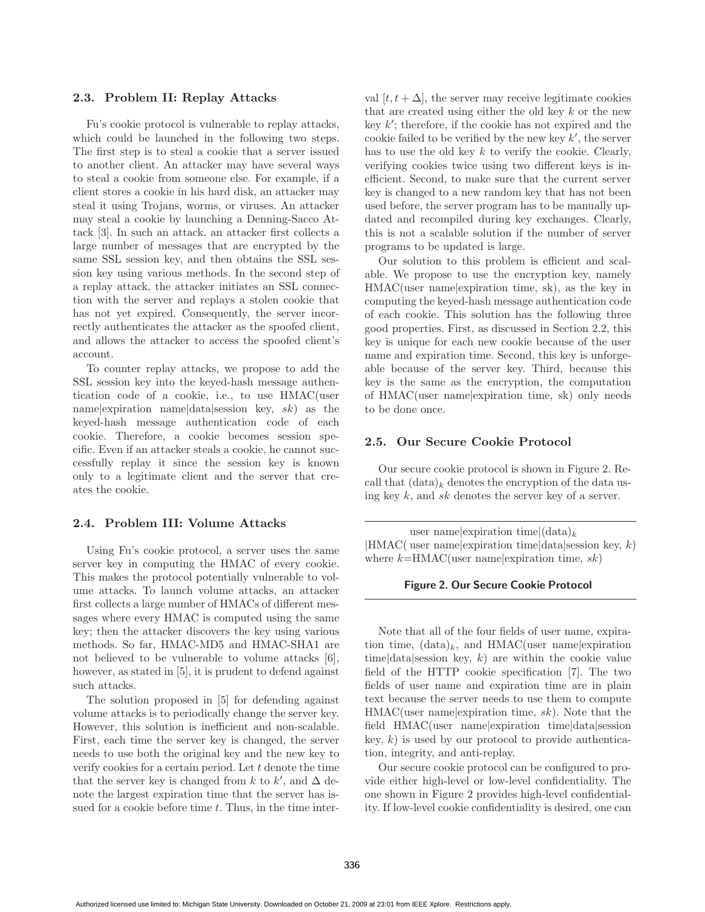#### **2.3. Problem II: Replay Attacks**

Fu's cookie protocol is vulnerable to replay attacks, which could be launched in the following two steps. The first step is to steal a cookie that a server issued to another client. An attacker may have several ways to steal a cookie from someone else. For example, if a client stores a cookie in his hard disk, an attacker may steal it using Trojans, worms, or viruses. An attacker may steal a cookie by launching a Denning-Sacco Attack [3]. In such an attack, an attacker first collects a large number of messages that are encrypted by the same SSL session key, and then obtains the SSL session key using various methods. In the second step of a replay attack, the attacker initiates an SSL connection with the server and replays a stolen cookie that has not yet expired. Consequently, the server incorrectly authenticates the attacker as the spoofed client, and allows the attacker to access the spoofed client's account.

To counter replay attacks, we propose to add the SSL session key into the keyed-hash message authentication code of a cookie, i.e., to use HMAC(user name*|*expiration name*|*data*|*session key, *sk*) as the keyed-hash message authentication code of each cookie. Therefore, a cookie becomes session specific. Even if an attacker steals a cookie, he cannot successfully replay it since the session key is known only to a legitimate client and the server that creates the cookie.

#### **2.4. Problem III: Volume Attacks**

Using Fu's cookie protocol, a server uses the same server key in computing the HMAC of every cookie. This makes the protocol potentially vulnerable to volume attacks. To launch volume attacks, an attacker first collects a large number of HMACs of different messages where every HMAC is computed using the same key; then the attacker discovers the key using various methods. So far, HMAC-MD5 and HMAC-SHA1 are not believed to be vulnerable to volume attacks [6], however, as stated in [5], it is prudent to defend against such attacks.

The solution proposed in [5] for defending against volume attacks is to periodically change the server key. However, this solution is inefficient and non-scalable. First, each time the server key is changed, the server needs to use both the original key and the new key to verify cookies for a certain period. Let *t* denote the time that the server key is changed from *k* to  $k'$ , and  $\Delta$  denote the largest expiration time that the server has issued for a cookie before time *t*. Thus, in the time interval  $[t, t + \Delta]$ , the server may receive legitimate cookies that are created using either the old key *k* or the new key *k* ; therefore, if the cookie has not expired and the cookie failed to be verified by the new key *k* , the server has to use the old key *k* to verify the cookie. Clearly, verifying cookies twice using two different keys is inefficient. Second, to make sure that the current server key is changed to a new random key that has not been used before, the server program has to be manually updated and recompiled during key exchanges. Clearly, this is not a scalable solution if the number of server programs to be updated is large.

Our solution to this problem is efficient and scalable. We propose to use the encryption key, namely HMAC(user name*|*expiration time, sk), as the key in computing the keyed-hash message authentication code of each cookie. This solution has the following three good properties. First, as discussed in Section 2.2, this key is unique for each new cookie because of the user name and expiration time. Second, this key is unforgeable because of the server key. Third, because this key is the same as the encryption, the computation of HMAC(user name*|*expiration time, sk) only needs to be done once.

#### **2.5. Our Secure Cookie Protocol**

Our secure cookie protocol is shown in Figure 2. Recall that  $(data)_k$  denotes the encryption of the data using key *k*, and *sk* denotes the server key of a server.

user name*|*expiration time*|*(data)*<sup>k</sup> |*HMAC( user name*|*expiration time*|*data*|*session key, *k*) where *k*=HMAC(user name*|*expiration time, *sk*)

#### **Figure 2. Our Secure Cookie Protocol**

Note that all of the four fields of user name, expiration time,  $(data)_k$ , and HMAC(user name expiration time*|*data*|*session key, *k*) are within the cookie value field of the HTTP cookie specification [7]. The two fields of user name and expiration time are in plain text because the server needs to use them to compute HMAC(user name*|*expiration time, *sk*). Note that the field HMAC(user name*|*expiration time*|*data*|*session key,  $k$ ) is used by our protocol to provide authentication, integrity, and anti-replay.

Our secure cookie protocol can be configured to provide either high-level or low-level confidentiality. The one shown in Figure 2 provides high-level confidentiality. If low-level cookie confidentiality is desired, one can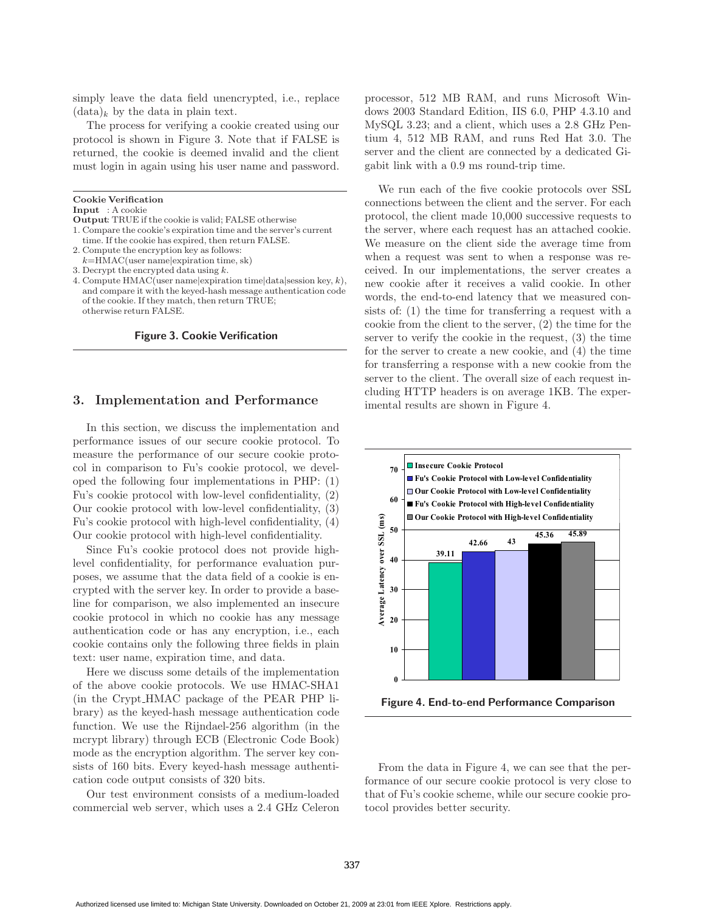simply leave the data field unencrypted, i.e., replace  $(data)<sub>k</sub>$  by the data in plain text.

The process for verifying a cookie created using our protocol is shown in Figure 3. Note that if FALSE is returned, the cookie is deemed invalid and the client must login in again using his user name and password.

#### **Cookie Verification**

**Input** : A cookie

**Output**: TRUE if the cookie is valid; FALSE otherwise

- 1. Compare the cookie's expiration time and the server's current time. If the cookie has expired, then return FALSE.
- 2. Compute the encryption key as follows:

*k*=HMAC(user name*|*expiration time, sk)

3. Decrypt the encrypted data using *k*.

4. Compute HMAC(user name*|*expiration time*|*data*|*session key, *k*), and compare it with the keyed-hash message authentication code of the cookie. If they match, then return TRUE; otherwise return FALSE.

#### **Figure 3. Cookie Verification**

#### **3. Implementation and Performance**

In this section, we discuss the implementation and performance issues of our secure cookie protocol. To measure the performance of our secure cookie protocol in comparison to Fu's cookie protocol, we developed the following four implementations in PHP: (1) Fu's cookie protocol with low-level confidentiality, (2) Our cookie protocol with low-level confidentiality, (3) Fu's cookie protocol with high-level confidentiality, (4) Our cookie protocol with high-level confidentiality.

Since Fu's cookie protocol does not provide highlevel confidentiality, for performance evaluation purposes, we assume that the data field of a cookie is encrypted with the server key. In order to provide a baseline for comparison, we also implemented an insecure cookie protocol in which no cookie has any message authentication code or has any encryption, i.e., each cookie contains only the following three fields in plain text: user name, expiration time, and data.

Here we discuss some details of the implementation of the above cookie protocols. We use HMAC-SHA1 (in the Crypt HMAC package of the PEAR PHP library) as the keyed-hash message authentication code function. We use the Rijndael-256 algorithm (in the mcrypt library) through ECB (Electronic Code Book) mode as the encryption algorithm. The server key consists of 160 bits. Every keyed-hash message authentication code output consists of 320 bits.

Our test environment consists of a medium-loaded commercial web server, which uses a 2.4 GHz Celeron processor, 512 MB RAM, and runs Microsoft Windows 2003 Standard Edition, IIS 6.0, PHP 4.3.10 and MySQL 3.23; and a client, which uses a 2.8 GHz Pentium 4, 512 MB RAM, and runs Red Hat 3.0. The server and the client are connected by a dedicated Gigabit link with a 0.9 ms round-trip time.

We run each of the five cookie protocols over SSL connections between the client and the server. For each protocol, the client made 10,000 successive requests to the server, where each request has an attached cookie. We measure on the client side the average time from when a request was sent to when a response was received. In our implementations, the server creates a new cookie after it receives a valid cookie. In other words, the end-to-end latency that we measured consists of: (1) the time for transferring a request with a cookie from the client to the server, (2) the time for the server to verify the cookie in the request, (3) the time for the server to create a new cookie, and (4) the time for transferring a response with a new cookie from the server to the client. The overall size of each request including HTTP headers is on average 1KB. The experimental results are shown in Figure 4.



**Figure 4. End-to-end Performance Comparison**

From the data in Figure 4, we can see that the performance of our secure cookie protocol is very close to that of Fu's cookie scheme, while our secure cookie protocol provides better security.